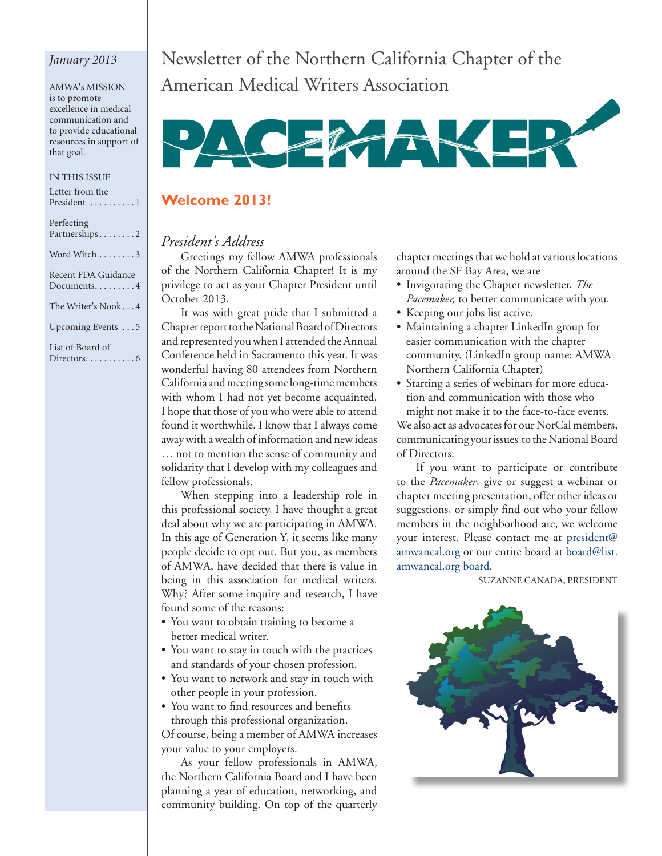## *January 2013*

AMWA's MISSION AMWA's MISSION is to promote is to promote excellence in medical excellence in medical communication and communication and to provide educational to provide educational resources in support of resources in support of that goal. that goal.

### In THIS ISSUE

| Letter from the                               |
|-----------------------------------------------|
| President 1                                   |
|                                               |
| Perfecting                                    |
| Partnerships2                                 |
|                                               |
| Word Witch 3                                  |
|                                               |
| Recent FDA Guidance                           |
| Documents $4$                                 |
|                                               |
| The Writer's Nook4                            |
|                                               |
| Upcoming Events 5                             |
|                                               |
| List of Board of                              |
| $\text{Directions} \dots \dots \dots \dots 6$ |
|                                               |

Newsletter of the Northern California Chapter of the American Medical Writers Association



## **Welcome 2013!**

## *President's Address*

Greetings my fellow AMWA professionals of the Northern California Chapter! It is my privilege to act as your Chapter President until October 2013.

It was with great pride that I submitted a Chapter report to the National Board of Directors and represented you when I attended the Annual Conference held in Sacramento this year. It was wonderful having 80 attendees from Northern California and meeting some long-time members with whom I had not yet become acquainted. I hope that those of you who were able to attend found it worthwhile. I know that I always come away with a wealth of information and new ideas … not to mention the sense of community and solidarity that I develop with my colleagues and fellow professionals.

When stepping into a leadership role in this professional society, I have thought a great deal about why we are participating in AMWA. In this age of Generation Y, it seems like many people decide to opt out. But you, as members of AMWA, have decided that there is value in being in this association for medical writers. Why? After some inquiry and research, I have found some of the reasons:

- You want to obtain training to become a better medical writer.
- • You want to stay in touch with the practices and standards of your chosen profession.
- • You want to network and stay in touch with other people in your profession.
- • You want to find resources and benefits through this professional organization.

Of course, being a member of AMWA increases your value to your employers.

As your fellow professionals in AMWA, the Northern California Board and I have been planning a year of education, networking, and community building. On top of the quarterly chapter meetings that we hold at various locations around the SF Bay Area, we are

- • Invigorating the Chapter newsletter, *The Pacemaker,* to better communicate with you.
- Keeping our jobs list active.
- • Maintaining a chapter LinkedIn group for easier communication with the chapter community. (LinkedIn group name: AMWA Northern California Chapter)
- Starting a series of webinars for more education and communication with those who

might not make it to the face-to-face events. We also act as advocates for our NorCal members, communicating your issues to the National Board of Directors.

If you want to participate or contribute to the *Pacemaker*, give or suggest a webinar or chapter meeting presentation, offer other ideas or suggestions, or simply find out who your fellow members in the neighborhood are, we welcome your interest. Please contact me at president@ amwancal.org or our entire board at board@list. amwancal.org board.

Suzanne Canada, President

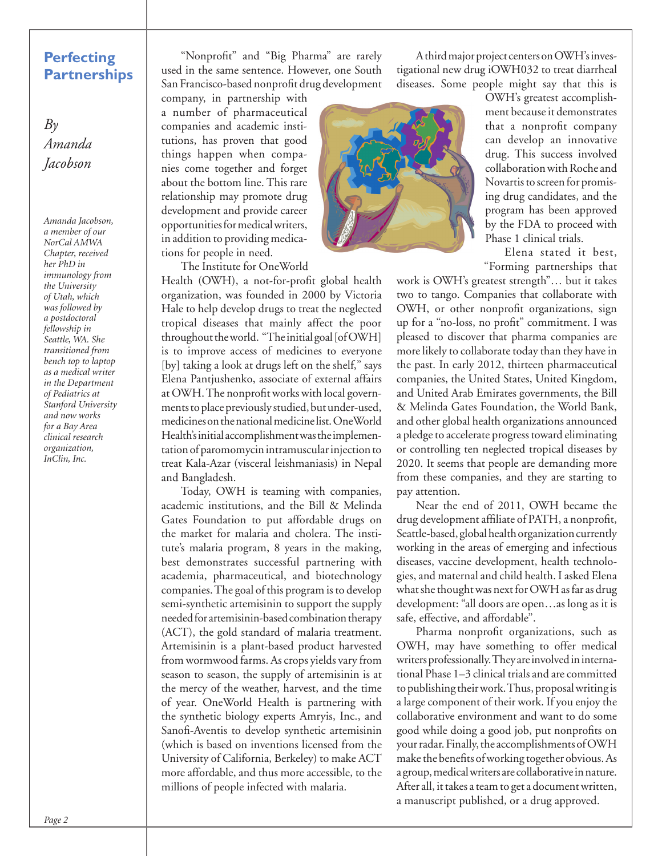## **Perfecting Partnerships**

*By Amanda Jacobson* 

*Amanda Jacobson, a member of our NorCal AMWA Chapter, received her PhD in immunology from the University of Utah, which was followed by a postdoctoral fellowship in Seattle, WA. She transitioned from bench top to laptop as a medical writer in the Department of Pediatrics at Stanford University and now works for a Bay Area clinical research organization, InClin, Inc.*

"Nonprofit" and "Big Pharma" are rarely used in the same sentence. However, one South San Francisco-based nonprofit drug development

company, in partnership with a number of pharmaceutical companies and academic institutions, has proven that good things happen when companies come together and forget about the bottom line. This rare relationship may promote drug development and provide career opportunities for medical writers, in addition to providing medications for people in need.

The Institute for OneWorld

Health (OWH), a not-for-profit global health organization, was founded in 2000 by Victoria Hale to help develop drugs to treat the neglected tropical diseases that mainly affect the poor throughout the world. "The initial goal [of OWH] is to improve access of medicines to everyone [by] taking a look at drugs left on the shelf," says Elena Pantjushenko, associate of external affairs at OWH. The nonprofit works with local governments to place previously studied, but under-used, medicines on the national medicine list. OneWorld Health's initial accomplishment was the implementation of paromomycin intramuscular injection to treat Kala-Azar (visceral leishmaniasis) in Nepal and Bangladesh.

Today, OWH is teaming with companies, academic institutions, and the Bill & Melinda Gates Foundation to put affordable drugs on the market for malaria and cholera. The institute's malaria program, 8 years in the making, best demonstrates successful partnering with academia, pharmaceutical, and biotechnology companies. The goal of this program is to develop semi-synthetic artemisinin to support the supply needed for artemisinin-based combination therapy (ACT), the gold standard of malaria treatment. Artemisinin is a plant-based product harvested from wormwood farms. As crops yields vary from season to season, the supply of artemisinin is at the mercy of the weather, harvest, and the time of year. OneWorld Health is partnering with the synthetic biology experts Amryis, Inc., and Sanofi-Aventis to develop synthetic artemisinin (which is based on inventions licensed from the University of California, Berkeley) to make ACT more affordable, and thus more accessible, to the millions of people infected with malaria.

A third major project centers on OWH's investigational new drug iOWH032 to treat diarrheal diseases. Some people might say that this is



OWH's greatest accomplishment because it demonstrates that a nonprofit company can develop an innovative drug. This success involved collaboration with Roche and Novartis to screen for promising drug candidates, and the program has been approved by the FDA to proceed with Phase 1 clinical trials.

Elena stated it best, "Forming partnerships that

work is OWH's greatest strength"… but it takes two to tango. Companies that collaborate with OWH, or other nonprofit organizations, sign up for a "no-loss, no profit" commitment. I was pleased to discover that pharma companies are more likely to collaborate today than they have in the past. In early 2012, thirteen pharmaceutical companies, the United States, United Kingdom, and United Arab Emirates governments, the Bill & Melinda Gates Foundation, the World Bank, and other global health organizations announced a pledge to accelerate progress toward eliminating or controlling ten neglected tropical diseases by 2020. It seems that people are demanding more from these companies, and they are starting to pay attention.

Near the end of 2011, OWH became the drug development affiliate of PATH, a nonprofit, Seattle-based, global health organization currently working in the areas of emerging and infectious diseases, vaccine development, health technologies, and maternal and child health. I asked Elena what she thought was next for OWH as far as drug development: "all doors are open…as long as it is safe, effective, and affordable".

Pharma nonprofit organizations, such as OWH, may have something to offer medical writers professionally. They are involved in international Phase 1–3 clinical trials and are committed to publishing their work. Thus, proposal writing is a large component of their work. If you enjoy the collaborative environment and want to do some good while doing a good job, put nonprofits on your radar. Finally, the accomplishments of OWH make the benefits of working together obvious. As a group, medical writers are collaborative in nature. After all, it takes a team to get a document written, a manuscript published, or a drug approved.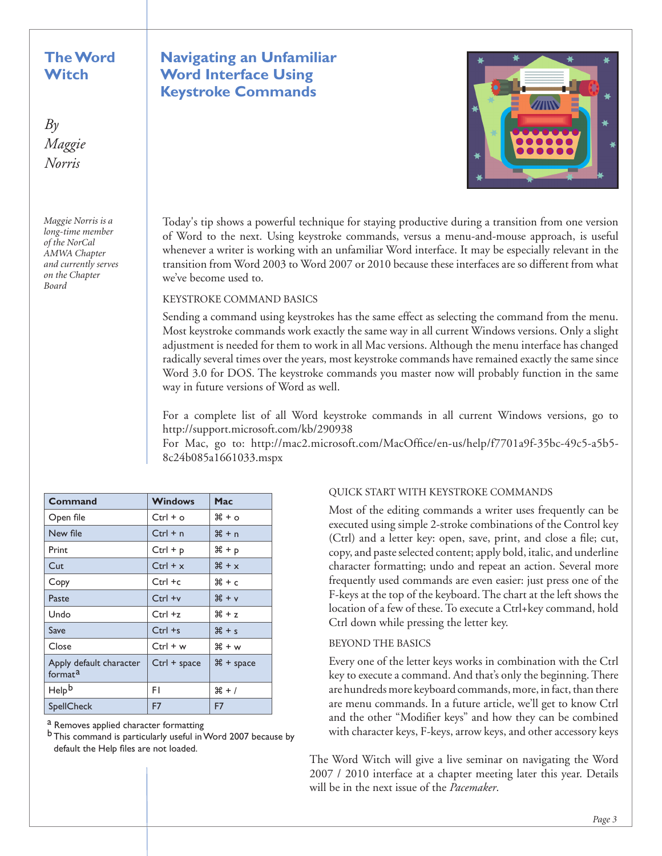## **The Word Witch**

 $B_{\mathcal{V}}$ *Maggie Norris*

*Maggie Norris is a long-time member of the NorCal AMWA Chapter and currently serves on the Chapter Board*

# **Navigating an Unfamiliar Word Interface Using Keystroke Commands**



Today's tip shows a powerful technique for staying productive during a transition from one version of Word to the next. Using keystroke commands, versus a menu-and-mouse approach, is useful whenever a writer is working with an unfamiliar Word interface. It may be especially relevant in the transition from Word 2003 to Word 2007 or 2010 because these interfaces are so different from what we've become used to.

#### Keystroke command basics

Sending a command using keystrokes has the same effect as selecting the command from the menu. Most keystroke commands work exactly the same way in all current Windows versions. Only a slight adjustment is needed for them to work in all Mac versions. Although the menu interface has changed radically several times over the years, most keystroke commands have remained exactly the same since Word 3.0 for DOS. The keystroke commands you master now will probably function in the same way in future versions of Word as well.

For a complete list of all Word keystroke commands in all current Windows versions, go to http://support.microsoft.com/kb/290938

For Mac, go to: http://mac2.microsoft.com/MacOffice/en-us/help/f7701a9f-35bc-49c5-a5b5- 8c24b085a1661033.mspx

| Command                                        | <b>Windows</b> | Mac         |
|------------------------------------------------|----------------|-------------|
| Open file                                      | $Ctrl + o$     | ೫ + o       |
| New file                                       | $Ctrl + n$     | $# + n$     |
| Print                                          | $Ctrl + p$     | $# + p$     |
| Cut                                            | $Ctrl + x$     | $# + x$     |
| Copy                                           | $Ctrl + c$     | ඝ + c       |
| Paste                                          | $Ctrl + v$     | $H + v$     |
| Undo                                           | $Ctrl + z$     | $# + 7$     |
| Save                                           | $Ctrl + s$     | $*$ + $*$   |
| Close                                          | $Ctrl + w$     | H + w       |
| Apply default character<br>format <sup>a</sup> | $Ctrl + space$ | $# + space$ |
| Help <sup>b</sup>                              | F١             | $# + /$     |
| SpellCheck                                     | F7             | F7          |

a Removes applied character formatting

b This command is particularly useful in Word 2007 because by default the Help files are not loaded.

#### Quick start with keystroke commands

Most of the editing commands a writer uses frequently can be executed using simple 2-stroke combinations of the Control key (Ctrl) and a letter key: open, save, print, and close a file; cut, copy, and paste selected content; apply bold, italic, and underline character formatting; undo and repeat an action. Several more frequently used commands are even easier: just press one of the F-keys at the top of the keyboard. The chart at the left shows the location of a few of these. To execute a Ctrl+key command, hold Ctrl down while pressing the letter key.

#### Beyond the basics

Every one of the letter keys works in combination with the Ctrl key to execute a command. And that's only the beginning. There are hundreds more keyboard commands, more, in fact, than there are menu commands. In a future article, we'll get to know Ctrl and the other "Modifier keys" and how they can be combined with character keys, F-keys, arrow keys, and other accessory keys

The Word Witch will give a live seminar on navigating the Word 2007 / 2010 interface at a chapter meeting later this year. Details will be in the next issue of the *Pacemaker*.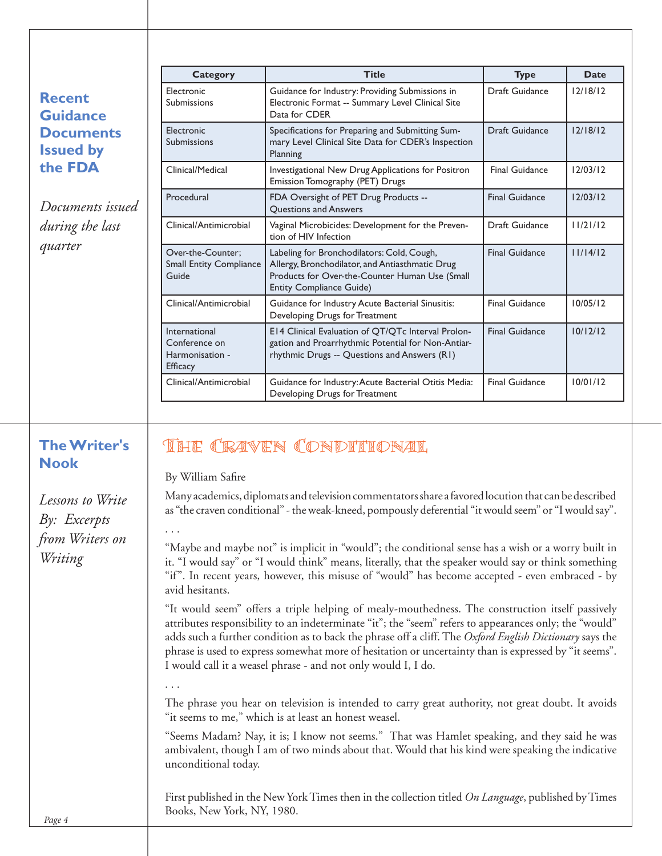| <b>Category</b>                                                          | <b>Title</b>                                                                                                                                                                       | <b>Type</b>           | <b>Date</b> |
|--------------------------------------------------------------------------|------------------------------------------------------------------------------------------------------------------------------------------------------------------------------------|-----------------------|-------------|
| Electronic<br><b>Recent</b><br><b>Submissions</b><br><b>Guidance</b>     | Guidance for Industry: Providing Submissions in<br>Electronic Format -- Summary Level Clinical Site<br>Data for CDER                                                               | Draft Guidance        | 12/18/12    |
| <b>Electronic</b><br><b>Documents</b><br>Submissions<br><b>Issued by</b> | Specifications for Preparing and Submitting Sum-<br>mary Level Clinical Site Data for CDER's Inspection<br>Planning                                                                | Draft Guidance        | 12/18/12    |
| the FDA<br>Clinical/Medical                                              | Investigational New Drug Applications for Positron<br>Emission Tomography (PET) Drugs                                                                                              | <b>Final Guidance</b> | 12/03/12    |
| Procedural<br>Documents issued                                           | FDA Oversight of PET Drug Products --<br><b>Ouestions and Answers</b>                                                                                                              | <b>Final Guidance</b> | 12/03/12    |
| during the last<br>Clinical/Antimicrobial                                | Vaginal Microbicides: Development for the Preven-<br>tion of HIV Infection                                                                                                         | Draft Guidance        | 11/21/12    |
| quarter<br>Over-the-Counter:<br><b>Small Entity Compliance</b><br>Guide  | Labeling for Bronchodilators: Cold, Cough,<br>Allergy, Bronchodilator, and Antiasthmatic Drug<br>Products for Over-the-Counter Human Use (Small<br><b>Entity Compliance Guide)</b> | <b>Final Guidance</b> | 11/14/12    |
| Clinical/Antimicrobial                                                   | Guidance for Industry Acute Bacterial Sinusitis:<br>Developing Drugs for Treatment                                                                                                 | <b>Final Guidance</b> | 10/05/12    |
| International<br>Conference on<br>Harmonisation -<br><b>Efficacy</b>     | E14 Clinical Evaluation of QT/QTc Interval Prolon-<br>gation and Proarrhythmic Potential for Non-Antiar-<br>rhythmic Drugs -- Questions and Answers (R1)                           | <b>Final Guidance</b> | 10/12/12    |
| Clinical/Antimicrobial                                                   | Guidance for Industry: Acute Bacterial Otitis Media:<br>Developing Drugs for Treatment                                                                                             | <b>Final Guidance</b> | 10/01/12    |

# **The Writer's Nook**

*Lessons to Write By: Excerpts from Writers on Writing*

# THE CRAVEN CONDITIONAL

By William Safire

Many academics, diplomats and television commentators share a favored locution that can be described as "the craven conditional" - the weak-kneed, pompously deferential "it would seem" or "I would say".

"Maybe and maybe not" is implicit in "would"; the conditional sense has a wish or a worry built in it. "I would say" or "I would think" means, literally, that the speaker would say or think something "if". In recent years, however, this misuse of "would" has become accepted - even embraced - by avid hesitants.

"It would seem" offers a triple helping of mealy-mouthedness. The construction itself passively attributes responsibility to an indeterminate "it"; the "seem" refers to appearances only; the "would" adds such a further condition as to back the phrase off a cliff. The *Oxford English Dictionary* says the phrase is used to express somewhat more of hesitation or uncertainty than is expressed by "it seems". I would call it a weasel phrase - and not only would I, I do.

. . .

. . .

The phrase you hear on television is intended to carry great authority, not great doubt. It avoids "it seems to me," which is at least an honest weasel.

"Seems Madam? Nay, it is; I know not seems." That was Hamlet speaking, and they said he was ambivalent, though I am of two minds about that. Would that his kind were speaking the indicative unconditional today.

First published in the New York Times then in the collection titled *On Language*, published by Times Books, New York, NY, 1980.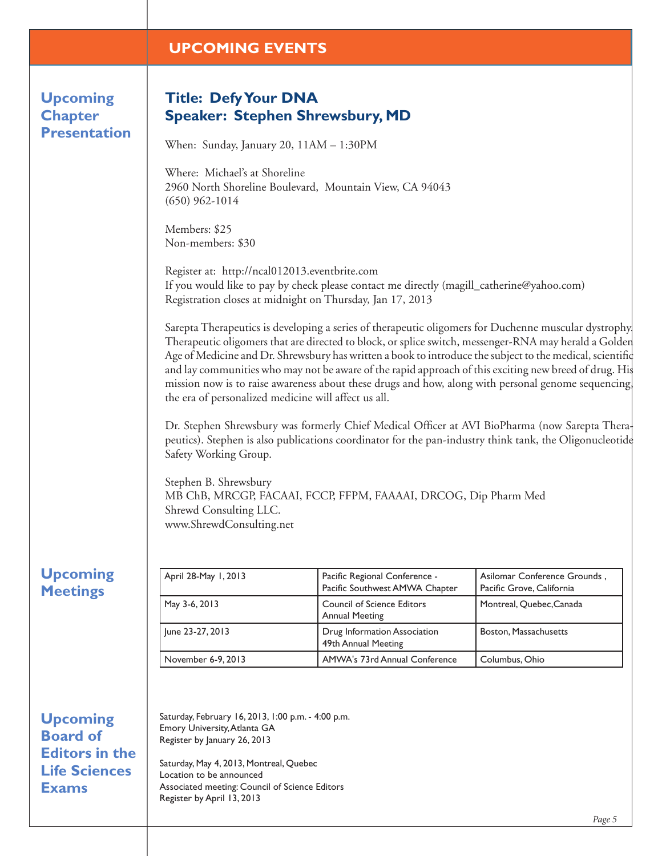# **UPCOMING EVENTS**

**Upcoming Chapter Presentation**

# **Title: Defy Your DNA Speaker: Stephen Shrewsbury, MD**

When: Sunday, January 20, 11AM – 1:30PM

Where: Michael's at Shoreline 2960 North Shoreline Boulevard, Mountain View, CA 94043 (650) 962-1014

Members: \$25 Non-members: \$30

Register at: http://ncal012013.eventbrite.com If you would like to pay by check please contact me directly (magill\_catherine@yahoo.com) Registration closes at midnight on Thursday, Jan 17, 2013

Sarepta Therapeutics is developing a series of therapeutic oligomers for Duchenne muscular dystrophy. Therapeutic oligomers that are directed to block, or splice switch, messenger-RNA may herald a Golden Age of Medicine and Dr. Shrewsbury has written a book to introduce the subject to the medical, scientific and lay communities who may not be aware of the rapid approach of this exciting new breed of drug. His mission now is to raise awareness about these drugs and how, along with personal genome sequencing, the era of personalized medicine will affect us all.

Dr. Stephen Shrewsbury was formerly Chief Medical Officer at AVI BioPharma (now Sarepta Therapeutics). Stephen is also publications coordinator for the pan-industry think tank, the Oligonucleotide Safety Working Group.

Stephen B. Shrewsbury MB ChB, MRCGP, FACAAI, FCCP, FFPM, FAAAAI, DRCOG, Dip Pharm Med Shrewd Consulting LLC. www.ShrewdConsulting.net

| <b>Upcoming</b> |
|-----------------|
| <b>Meetings</b> |

| April 28-May 1, 2013 | Pacific Regional Conference -<br>Pacific Southwest AMWA Chapter | Asilomar Conference Grounds,<br>Pacific Grove, California |
|----------------------|-----------------------------------------------------------------|-----------------------------------------------------------|
| May 3-6, 2013        | <b>Council of Science Editors</b><br><b>Annual Meeting</b>      | Montreal, Quebec, Canada                                  |
| June 23-27, 2013     | Drug Information Association<br>49th Annual Meeting             | Boston, Massachusetts                                     |
| November 6-9, 2013   | AMWA's 73rd Annual Conference                                   | Columbus, Ohio                                            |

**Upcoming Board of Editors in the Life Sciences Exams**

Saturday, February 16, 2013, 1:00 p.m. - 4:00 p.m. Emory University, Atlanta GA Register by January 26, 2013

Saturday, May 4, 2013, Montreal, Quebec Location to be announced Associated meeting: Council of Science Editors Register by April 13, 2013